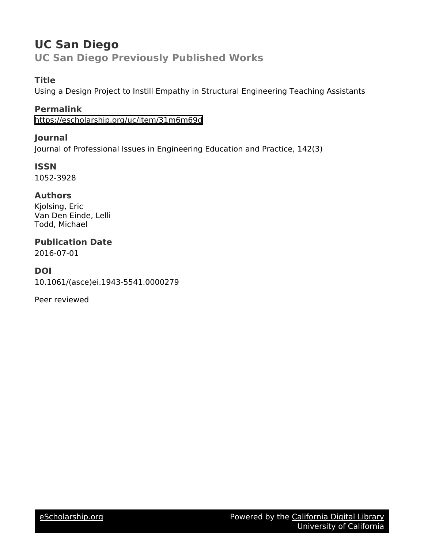# **UC San Diego UC San Diego Previously Published Works**

# **Title**

Using a Design Project to Instill Empathy in Structural Engineering Teaching Assistants

# **Permalink**

<https://escholarship.org/uc/item/31m6m69d>

## **Journal**

Journal of Professional Issues in Engineering Education and Practice, 142(3)

**ISSN** 1052-3928

## **Authors**

Kjolsing, Eric Van Den Einde, Lelli Todd, Michael

# **Publication Date**

2016-07-01

## **DOI**

10.1061/(asce)ei.1943-5541.0000279

Peer reviewed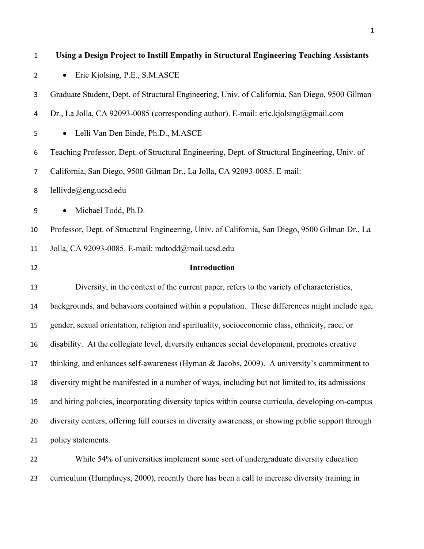| $\mathbf{1}$   | Using a Design Project to Instill Empathy in Structural Engineering Teaching Assistants            |
|----------------|----------------------------------------------------------------------------------------------------|
| $\overline{2}$ | Eric Kjolsing, P.E., S.M.ASCE<br>$\bullet$                                                         |
| 3              | Graduate Student, Dept. of Structural Engineering, Univ. of California, San Diego, 9500 Gilman     |
| 4              | Dr., La Jolla, CA 92093-0085 (corresponding author). E-mail: eric.kjolsing@gmail.com               |
| 5              | Lelli Van Den Einde, Ph.D., M.ASCE<br>$\bullet$                                                    |
| 6              | Teaching Professor, Dept. of Structural Engineering, Dept. of Structural Engineering, Univ. of     |
| $\overline{7}$ | California, San Diego, 9500 Gilman Dr., La Jolla, CA 92093-0085. E-mail:                           |
| 8              | lellivde@eng.ucsd.edu                                                                              |
| 9              | Michael Todd, Ph.D.                                                                                |
| 10             | Professor, Dept. of Structural Engineering, Univ. of California, San Diego, 9500 Gilman Dr., La    |
| 11             | Jolla, CA 92093-0085. E-mail: mdtodd@mail.ucsd.edu                                                 |
| 12             | Introduction                                                                                       |
| 13             | Diversity, in the context of the current paper, refers to the variety of characteristics,          |
| 14             | backgrounds, and behaviors contained within a population. These differences might include age,     |
| 15             | gender, sexual orientation, religion and spirituality, socioeconomic class, ethnicity, race, or    |
| 16             | disability. At the collegiate level, diversity enhances social development, promotes creative      |
| 17             | thinking, and enhances self-awareness (Hyman & Jacobs, 2009). A university's commitment to         |
| 18             | diversity might be manifested in a number of ways, including but not limited to, its admissions    |
| 19             | and hiring policies, incorporating diversity topics within course curricula, developing on-campus  |
| 20             | diversity centers, offering full courses in diversity awareness, or showing public support through |
| 21             | policy statements.                                                                                 |
| 22             | While 54% of universities implement some sort of undergraduate diversity education                 |
|                |                                                                                                    |

curriculum (Humphreys, 2000), recently there has been a call to increase diversity training in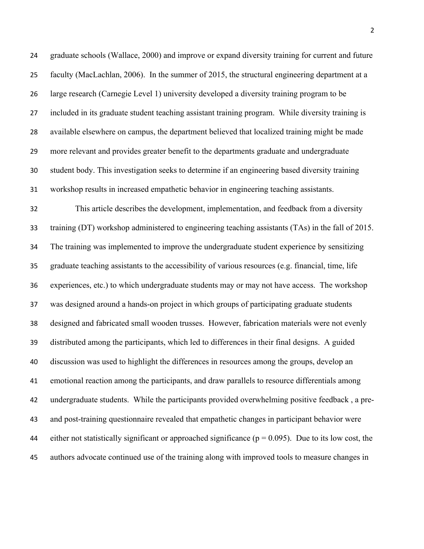graduate schools (Wallace, 2000) and improve or expand diversity training for current and future faculty (MacLachlan, 2006). In the summer of 2015, the structural engineering department at a large research (Carnegie Level 1) university developed a diversity training program to be included in its graduate student teaching assistant training program. While diversity training is available elsewhere on campus, the department believed that localized training might be made more relevant and provides greater benefit to the departments graduate and undergraduate student body. This investigation seeks to determine if an engineering based diversity training workshop results in increased empathetic behavior in engineering teaching assistants. This article describes the development, implementation, and feedback from a diversity

 training (DT) workshop administered to engineering teaching assistants (TAs) in the fall of 2015. The training was implemented to improve the undergraduate student experience by sensitizing graduate teaching assistants to the accessibility of various resources (e.g. financial, time, life experiences, etc.) to which undergraduate students may or may not have access. The workshop was designed around a hands-on project in which groups of participating graduate students designed and fabricated small wooden trusses. However, fabrication materials were not evenly distributed among the participants, which led to differences in their final designs. A guided discussion was used to highlight the differences in resources among the groups, develop an emotional reaction among the participants, and draw parallels to resource differentials among undergraduate students. While the participants provided overwhelming positive feedback , a pre- and post-training questionnaire revealed that empathetic changes in participant behavior were 44 either not statistically significant or approached significance ( $p = 0.095$ ). Due to its low cost, the authors advocate continued use of the training along with improved tools to measure changes in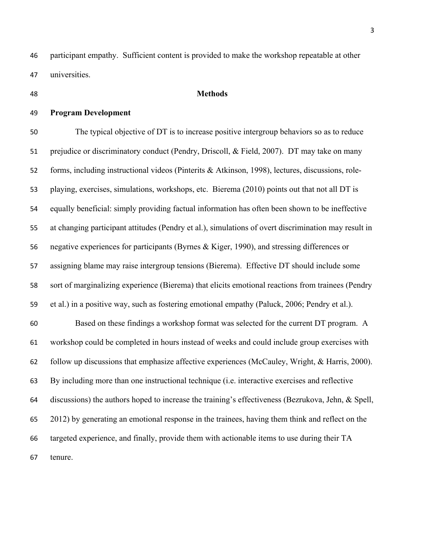participant empathy. Sufficient content is provided to make the workshop repeatable at other universities.

#### **Methods**

### **Program Development**

 The typical objective of DT is to increase positive intergroup behaviors so as to reduce prejudice or discriminatory conduct (Pendry, Driscoll, & Field, 2007). DT may take on many forms, including instructional videos (Pinterits & Atkinson, 1998), lectures, discussions, role- playing, exercises, simulations, workshops, etc. Bierema (2010) points out that not all DT is equally beneficial: simply providing factual information has often been shown to be ineffective at changing participant attitudes (Pendry et al.), simulations of overt discrimination may result in negative experiences for participants (Byrnes & Kiger, 1990), and stressing differences or assigning blame may raise intergroup tensions (Bierema). Effective DT should include some sort of marginalizing experience (Bierema) that elicits emotional reactions from trainees (Pendry et al.) in a positive way, such as fostering emotional empathy (Paluck, 2006; Pendry et al.). Based on these findings a workshop format was selected for the current DT program. A workshop could be completed in hours instead of weeks and could include group exercises with follow up discussions that emphasize affective experiences (McCauley, Wright, & Harris, 2000). By including more than one instructional technique (i.e. interactive exercises and reflective discussions) the authors hoped to increase the training's effectiveness (Bezrukova, Jehn, & Spell,

2012) by generating an emotional response in the trainees, having them think and reflect on the

targeted experience, and finally, provide them with actionable items to use during their TA

tenure.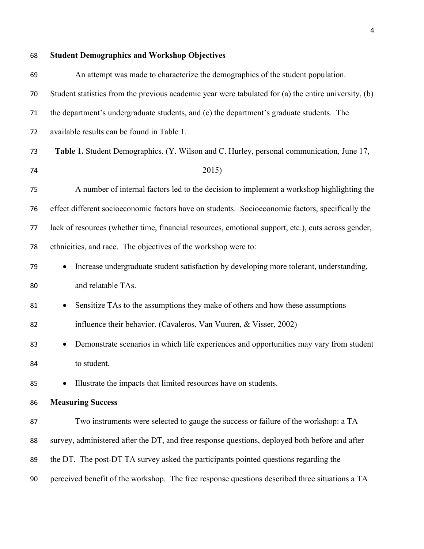| 68 | <b>Student Demographics and Workshop Objectives</b>                                                  |
|----|------------------------------------------------------------------------------------------------------|
| 69 | An attempt was made to characterize the demographics of the student population.                      |
| 70 | Student statistics from the previous academic year were tabulated for (a) the entire university, (b) |
| 71 | the department's undergraduate students, and (c) the department's graduate students. The             |
| 72 | available results can be found in Table 1.                                                           |
| 73 | Table 1. Student Demographics. (Y. Wilson and C. Hurley, personal communication, June 17,            |
| 74 | 2015)                                                                                                |
| 75 | A number of internal factors led to the decision to implement a workshop highlighting the            |
| 76 | effect different socioeconomic factors have on students. Socioeconomic factors, specifically the     |
| 77 | lack of resources (whether time, financial resources, emotional support, etc.), cuts across gender,  |
| 78 | ethnicities, and race. The objectives of the workshop were to:                                       |
| 79 | Increase undergraduate student satisfaction by developing more tolerant, understanding,              |
| 80 | and relatable TAs.                                                                                   |
| 81 | Sensitize TAs to the assumptions they make of others and how these assumptions<br>$\bullet$          |
| 82 | influence their behavior. (Cavaleros, Van Vuuren, & Visser, 2002)                                    |
| 83 | Demonstrate scenarios in which life experiences and opportunities may vary from student              |
| 84 | to student.                                                                                          |
| 85 | Illustrate the impacts that limited resources have on students.                                      |
| 86 | <b>Measuring Success</b>                                                                             |
| 87 | Two instruments were selected to gauge the success or failure of the workshop: a TA                  |
| 88 | survey, administered after the DT, and free response questions, deployed both before and after       |
| 89 | the DT. The post-DT TA survey asked the participants pointed questions regarding the                 |
| 90 | perceived benefit of the workshop. The free response questions described three situations a TA       |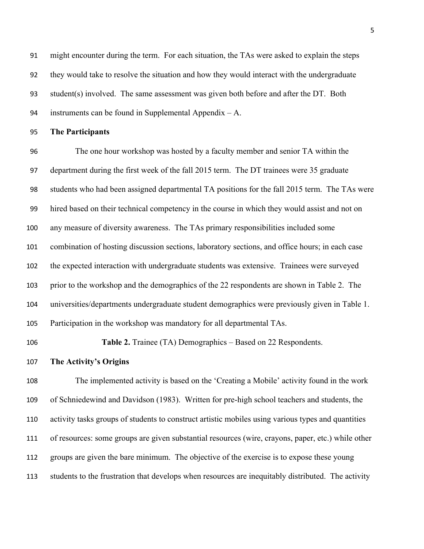might encounter during the term. For each situation, the TAs were asked to explain the steps they would take to resolve the situation and how they would interact with the undergraduate student(s) involved. The same assessment was given both before and after the DT. Both instruments can be found in Supplemental Appendix – A.

**The Participants**

 The one hour workshop was hosted by a faculty member and senior TA within the department during the first week of the fall 2015 term. The DT trainees were 35 graduate students who had been assigned departmental TA positions for the fall 2015 term. The TAs were hired based on their technical competency in the course in which they would assist and not on any measure of diversity awareness. The TAs primary responsibilities included some combination of hosting discussion sections, laboratory sections, and office hours; in each case the expected interaction with undergraduate students was extensive. Trainees were surveyed prior to the workshop and the demographics of the 22 respondents are shown in Table 2. The universities/departments undergraduate student demographics were previously given in Table 1. Participation in the workshop was mandatory for all departmental TAs.

**Table 2.** Trainee (TA) Demographics – Based on 22 Respondents.

**The Activity's Origins**

 The implemented activity is based on the 'Creating a Mobile' activity found in the work of Schniedewind and Davidson (1983). Written for pre-high school teachers and students, the activity tasks groups of students to construct artistic mobiles using various types and quantities of resources: some groups are given substantial resources (wire, crayons, paper, etc.) while other groups are given the bare minimum. The objective of the exercise is to expose these young students to the frustration that develops when resources are inequitably distributed. The activity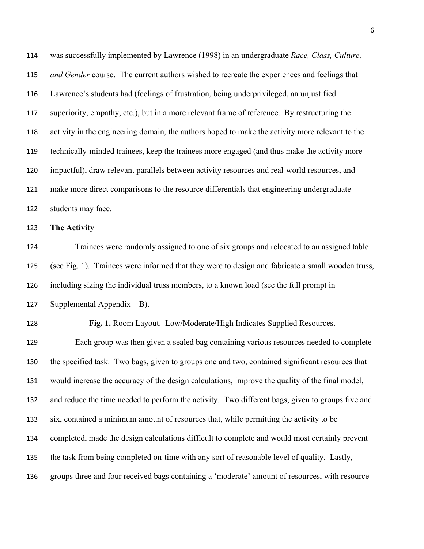was successfully implemented by Lawrence (1998) in an undergraduate *Race, Class, Culture, and Gender* course. The current authors wished to recreate the experiences and feelings that Lawrence's students had (feelings of frustration, being underprivileged, an unjustified superiority, empathy, etc.), but in a more relevant frame of reference. By restructuring the activity in the engineering domain, the authors hoped to make the activity more relevant to the technically-minded trainees, keep the trainees more engaged (and thus make the activity more impactful), draw relevant parallels between activity resources and real-world resources, and make more direct comparisons to the resource differentials that engineering undergraduate students may face.

**The Activity**

 Trainees were randomly assigned to one of six groups and relocated to an assigned table (see Fig. 1). Trainees were informed that they were to design and fabricate a small wooden truss, including sizing the individual truss members, to a known load (see the full prompt in 127 Supplemental Appendix  $-B$ ).

 **Fig. 1.** Room Layout. Low/Moderate/High Indicates Supplied Resources. Each group was then given a sealed bag containing various resources needed to complete the specified task. Two bags, given to groups one and two, contained significant resources that would increase the accuracy of the design calculations, improve the quality of the final model, and reduce the time needed to perform the activity. Two different bags, given to groups five and six, contained a minimum amount of resources that, while permitting the activity to be completed, made the design calculations difficult to complete and would most certainly prevent the task from being completed on-time with any sort of reasonable level of quality. Lastly, groups three and four received bags containing a 'moderate' amount of resources, with resource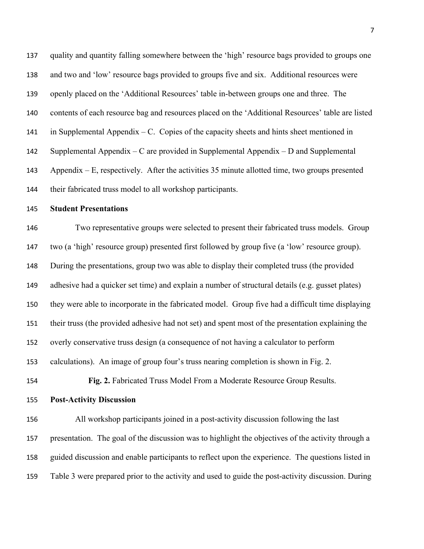quality and quantity falling somewhere between the 'high' resource bags provided to groups one and two and 'low' resource bags provided to groups five and six. Additional resources were openly placed on the 'Additional Resources' table in-between groups one and three. The contents of each resource bag and resources placed on the 'Additional Resources' table are listed 141 in Supplemental Appendix  $-C$ . Copies of the capacity sheets and hints sheet mentioned in Supplemental Appendix – C are provided in Supplemental Appendix – D and Supplemental Appendix – E, respectively. After the activities 35 minute allotted time, two groups presented their fabricated truss model to all workshop participants.

**Student Presentations**

 Two representative groups were selected to present their fabricated truss models. Group two (a 'high' resource group) presented first followed by group five (a 'low' resource group). During the presentations, group two was able to display their completed truss (the provided adhesive had a quicker set time) and explain a number of structural details (e.g. gusset plates) they were able to incorporate in the fabricated model. Group five had a difficult time displaying their truss (the provided adhesive had not set) and spent most of the presentation explaining the overly conservative truss design (a consequence of not having a calculator to perform calculations). An image of group four's truss nearing completion is shown in Fig. 2.

**Fig. 2.** Fabricated Truss Model From a Moderate Resource Group Results.

**Post-Activity Discussion**

 All workshop participants joined in a post-activity discussion following the last presentation. The goal of the discussion was to highlight the objectives of the activity through a guided discussion and enable participants to reflect upon the experience. The questions listed in Table 3 were prepared prior to the activity and used to guide the post-activity discussion. During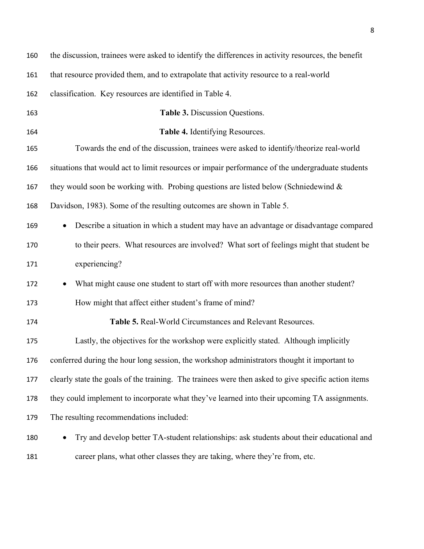| 160 | the discussion, trainees were asked to identify the differences in activity resources, the benefit  |
|-----|-----------------------------------------------------------------------------------------------------|
| 161 | that resource provided them, and to extrapolate that activity resource to a real-world              |
| 162 | classification. Key resources are identified in Table 4.                                            |
| 163 | Table 3. Discussion Questions.                                                                      |
| 164 | Table 4. Identifying Resources.                                                                     |
| 165 | Towards the end of the discussion, trainees were asked to identify/theorize real-world              |
| 166 | situations that would act to limit resources or impair performance of the undergraduate students    |
| 167 | they would soon be working with. Probing questions are listed below (Schniedewind $\&$              |
| 168 | Davidson, 1983). Some of the resulting outcomes are shown in Table 5.                               |
| 169 | Describe a situation in which a student may have an advantage or disadvantage compared              |
| 170 | to their peers. What resources are involved? What sort of feelings might that student be            |
| 171 | experiencing?                                                                                       |
| 172 | What might cause one student to start off with more resources than another student?<br>$\bullet$    |
| 173 | How might that affect either student's frame of mind?                                               |
| 174 | Table 5. Real-World Circumstances and Relevant Resources.                                           |
| 175 | Lastly, the objectives for the workshop were explicitly stated. Although implicitly                 |
| 176 | conferred during the hour long session, the workshop administrators thought it important to         |
| 177 | clearly state the goals of the training. The trainees were then asked to give specific action items |
| 178 | they could implement to incorporate what they've learned into their upcoming TA assignments.        |
| 179 | The resulting recommendations included:                                                             |
| 180 | Try and develop better TA-student relationships: ask students about their educational and           |
| 181 | career plans, what other classes they are taking, where they're from, etc.                          |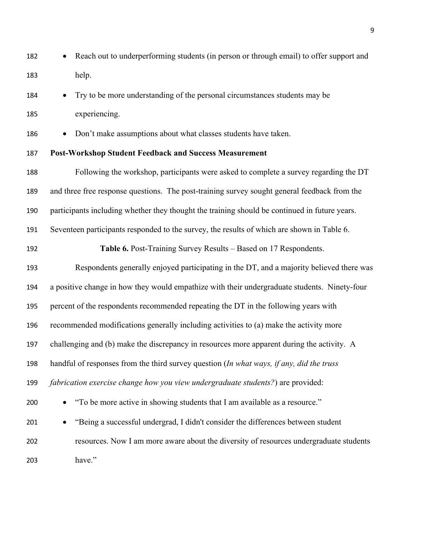- Reach out to underperforming students (in person or through email) to offer support and help.
- Try to be more understanding of the personal circumstances students may be experiencing.
- Don't make assumptions about what classes students have taken.

## **Post-Workshop Student Feedback and Success Measurement**

- Following the workshop, participants were asked to complete a survey regarding the DT and three free response questions. The post-training survey sought general feedback from the participants including whether they thought the training should be continued in future years. Seventeen participants responded to the survey, the results of which are shown in Table 6. **Table 6.** Post-Training Survey Results – Based on 17 Respondents. Respondents generally enjoyed participating in the DT, and a majority believed there was
- a positive change in how they would empathize with their undergraduate students. Ninety-four percent of the respondents recommended repeating the DT in the following years with recommended modifications generally including activities to (a) make the activity more challenging and (b) make the discrepancy in resources more apparent during the activity. A handful of responses from the third survey question (*In what ways, if any, did the truss fabrication exercise change how you view undergraduate students?*) are provided: • "To be more active in showing students that I am available as a resource." • "Being a successful undergrad, I didn't consider the differences between student
- resources. Now I am more aware about the diversity of resources undergraduate students have."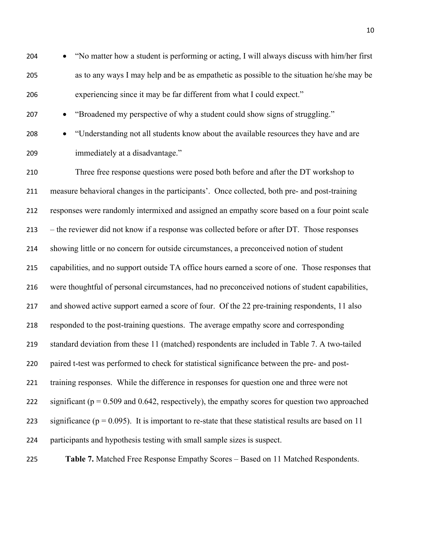• "No matter how a student is performing or acting, I will always discuss with him/her first as to any ways I may help and be as empathetic as possible to the situation he/she may be experiencing since it may be far different from what I could expect."

- "Broadened my perspective of why a student could show signs of struggling."
- 

 • "Understanding not all students know about the available resources they have and are immediately at a disadvantage."

 Three free response questions were posed both before and after the DT workshop to measure behavioral changes in the participants'. Once collected, both pre- and post-training responses were randomly intermixed and assigned an empathy score based on a four point scale – the reviewer did not know if a response was collected before or after DT. Those responses showing little or no concern for outside circumstances, a preconceived notion of student capabilities, and no support outside TA office hours earned a score of one. Those responses that were thoughtful of personal circumstances, had no preconceived notions of student capabilities, 217 and showed active support earned a score of four. Of the 22 pre-training respondents, 11 also responded to the post-training questions. The average empathy score and corresponding standard deviation from these 11 (matched) respondents are included in Table 7. A two-tailed paired t-test was performed to check for statistical significance between the pre- and post- training responses. While the difference in responses for question one and three were not 222 significant ( $p = 0.509$  and 0.642, respectively), the empathy scores for question two approached 223 significance ( $p = 0.095$ ). It is important to re-state that these statistical results are based on 11 participants and hypothesis testing with small sample sizes is suspect.

**Table 7.** Matched Free Response Empathy Scores – Based on 11 Matched Respondents.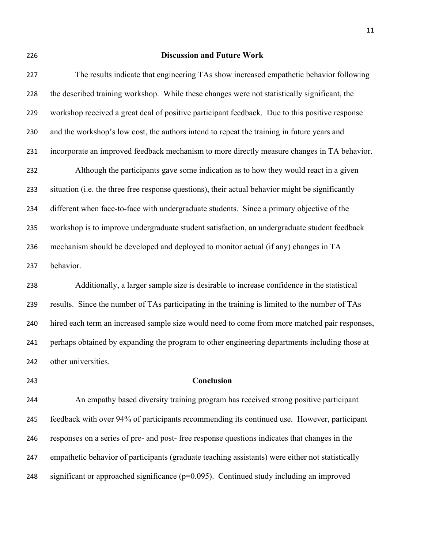#### **Discussion and Future Work**

 The results indicate that engineering TAs show increased empathetic behavior following the described training workshop. While these changes were not statistically significant, the workshop received a great deal of positive participant feedback. Due to this positive response and the workshop's low cost, the authors intend to repeat the training in future years and incorporate an improved feedback mechanism to more directly measure changes in TA behavior. Although the participants gave some indication as to how they would react in a given situation (i.e. the three free response questions), their actual behavior might be significantly different when face-to-face with undergraduate students. Since a primary objective of the workshop is to improve undergraduate student satisfaction, an undergraduate student feedback mechanism should be developed and deployed to monitor actual (if any) changes in TA behavior. Additionally, a larger sample size is desirable to increase confidence in the statistical

 results. Since the number of TAs participating in the training is limited to the number of TAs hired each term an increased sample size would need to come from more matched pair responses, perhaps obtained by expanding the program to other engineering departments including those at other universities.

#### **Conclusion**

 An empathy based diversity training program has received strong positive participant feedback with over 94% of participants recommending its continued use. However, participant responses on a series of pre- and post- free response questions indicates that changes in the empathetic behavior of participants (graduate teaching assistants) were either not statistically significant or approached significance (p=0.095). Continued study including an improved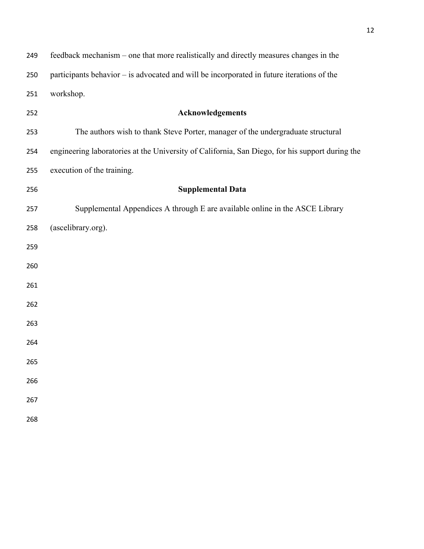| 249 | feedback mechanism – one that more realistically and directly measures changes in the           |
|-----|-------------------------------------------------------------------------------------------------|
| 250 | participants behavior – is advocated and will be incorporated in future iterations of the       |
| 251 | workshop.                                                                                       |
| 252 | Acknowledgements                                                                                |
| 253 | The authors wish to thank Steve Porter, manager of the undergraduate structural                 |
| 254 | engineering laboratories at the University of California, San Diego, for his support during the |
| 255 | execution of the training.                                                                      |
| 256 | <b>Supplemental Data</b>                                                                        |
| 257 | Supplemental Appendices A through E are available online in the ASCE Library                    |
| 258 | (ascelibrary.org).                                                                              |
| 259 |                                                                                                 |
| 260 |                                                                                                 |
| 261 |                                                                                                 |
| 262 |                                                                                                 |
| 263 |                                                                                                 |
| 264 |                                                                                                 |
| 265 |                                                                                                 |
| 266 |                                                                                                 |
| 267 |                                                                                                 |
| 268 |                                                                                                 |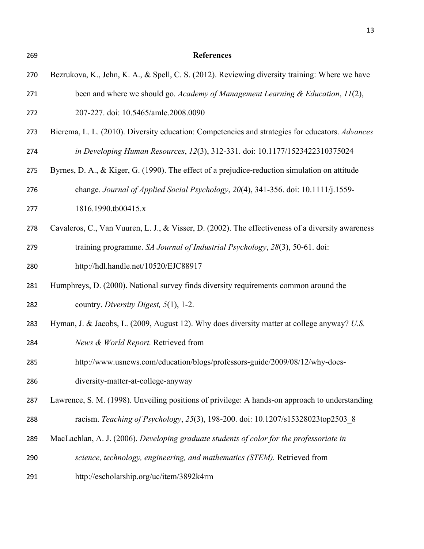**References** Bezrukova, K., Jehn, K. A., & Spell, C. S. (2012). Reviewing diversity training: Where we have been and where we should go. *Academy of Management Learning & Education*, *11*(2),

### 207-227. doi: 10.5465/amle.2008.0090

- Bierema, L. L. (2010). Diversity education: Competencies and strategies for educators. *Advances*
- *in Developing Human Resources*, *12*(3), 312-331. doi: 10.1177/1523422310375024
- Byrnes, D. A., & Kiger, G. (1990). The effect of a prejudice-reduction simulation on attitude
- change. *Journal of Applied Social Psychology*, *20*(4), 341-356. doi: 10.1111/j.1559-
- 1816.1990.tb00415.x
- Cavaleros, C., Van Vuuren, L. J., & Visser, D. (2002). The effectiveness of a diversity awareness training programme. *SA Journal of Industrial Psychology*, *28*(3), 50-61. doi:
- http://hdl.handle.net/10520/EJC88917
- Humphreys, D. (2000). National survey finds diversity requirements common around the country. *Diversity Digest, 5*(1), 1-2.
- Hyman, J. & Jacobs, L. (2009, August 12). Why does diversity matter at college anyway? *U.S.*
- *News & World Report.* Retrieved from
- http://www.usnews.com/education/blogs/professors-guide/2009/08/12/why-does-
- diversity-matter-at-college-anyway
- Lawrence, S. M. (1998). Unveiling positions of privilege: A hands-on approach to understanding
- racism. *Teaching of Psychology*, *25*(3), 198-200. doi: 10.1207/s15328023top2503\_8
- MacLachlan, A. J. (2006). *Developing graduate students of color for the professoriate in*
- *science, technology, engineering, and mathematics (STEM).* Retrieved from
- http://escholarship.org/uc/item/3892k4rm